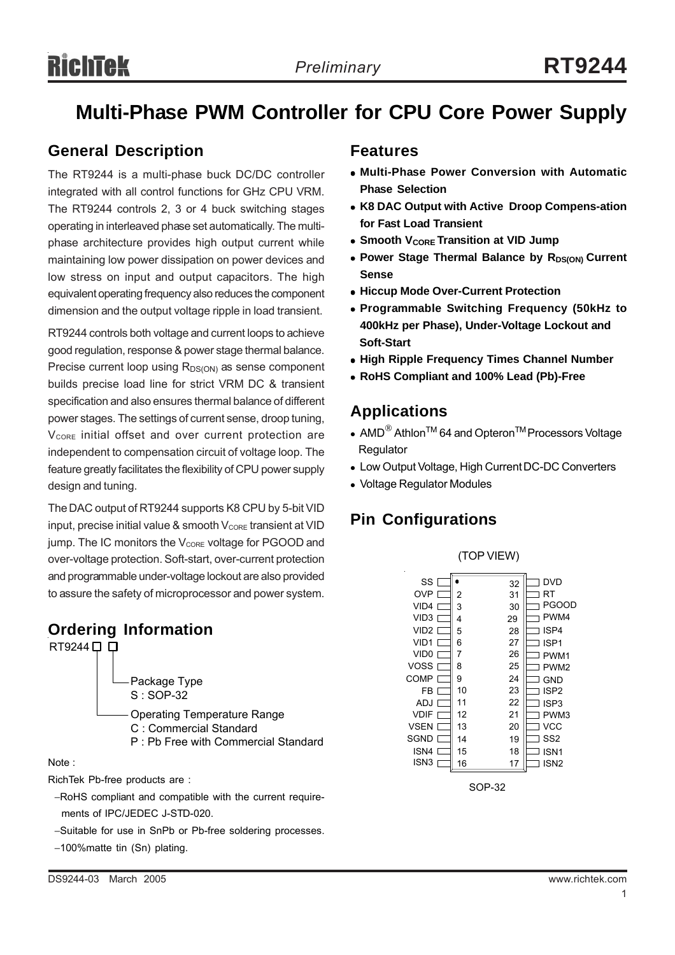# **Multi-Phase PWM Controller for CPU Core Power Supply**

## **General Description**

The RT9244 is a multi-phase buck DC/DC controller integrated with all control functions for GHz CPU VRM. The RT9244 controls 2, 3 or 4 buck switching stages operating in interleaved phase set automatically. The multiphase architecture provides high output current while maintaining low power dissipation on power devices and low stress on input and output capacitors. The high equivalent operating frequency also reduces the component dimension and the output voltage ripple in load transient.

RT9244 controls both voltage and current loops to achieve good regulation, response & power stage thermal balance. Precise current loop using  $R_{DS(ON)}$  as sense component builds precise load line for strict VRM DC & transient specification and also ensures thermal balance of different power stages. The settings of current sense, droop tuning, V<sub>CORE</sub> initial offset and over current protection are independent to compensation circuit of voltage loop. The feature greatly facilitates the flexibility of CPU power supply design and tuning.

The DAC output of RT9244 supports K8 CPU by 5-bit VID input, precise initial value & smooth  $V_{\text{CORE}}$  transient at VID jump. The IC monitors the  $V_{\text{CORE}}$  voltage for PGOOD and over-voltage protection. Soft-start, over-current protection and programmable under-voltage lockout are also provided to assure the safety of microprocessor and power system.



#### RichTek Pb-free products are :

- −RoHS compliant and compatible with the current require ments of IPC/JEDEC J-STD-020.
- −Suitable for use in SnPb or Pb-free soldering processes.
- −100%matte tin (Sn) plating.

## **Features**

- <sup>z</sup> **Multi-Phase Power Conversion with Automatic Phase Selection**
- K8 DAC Output with Active Droop Compens-ation **for Fast Load Transient**
- **Smooth V<sub>CORE</sub> Transition at VID Jump**
- Power Stage Thermal Balance by R<sub>DS(ON)</sub> Current **Sense**
- **Hiccup Mode Over-Current Protection**
- <sup>z</sup> **Programmable Switching Frequency (50kHz to 400kHz per Phase), Under-Voltage Lockout and Soft-Start**
- **High Ripple Frequency Times Channel Number**
- <sup>z</sup> **RoHS Compliant and 100% Lead (Pb)-Free**

## **Applications**

- AMD<sup>®</sup> Athlon<sup>TM</sup> 64 and Opteron<sup>TM</sup> Processors Voltage **Regulator**
- Low Output Voltage, High Current DC-DC Converters
- Voltage Regulator Modules

## **Pin Configurations**



SOP-32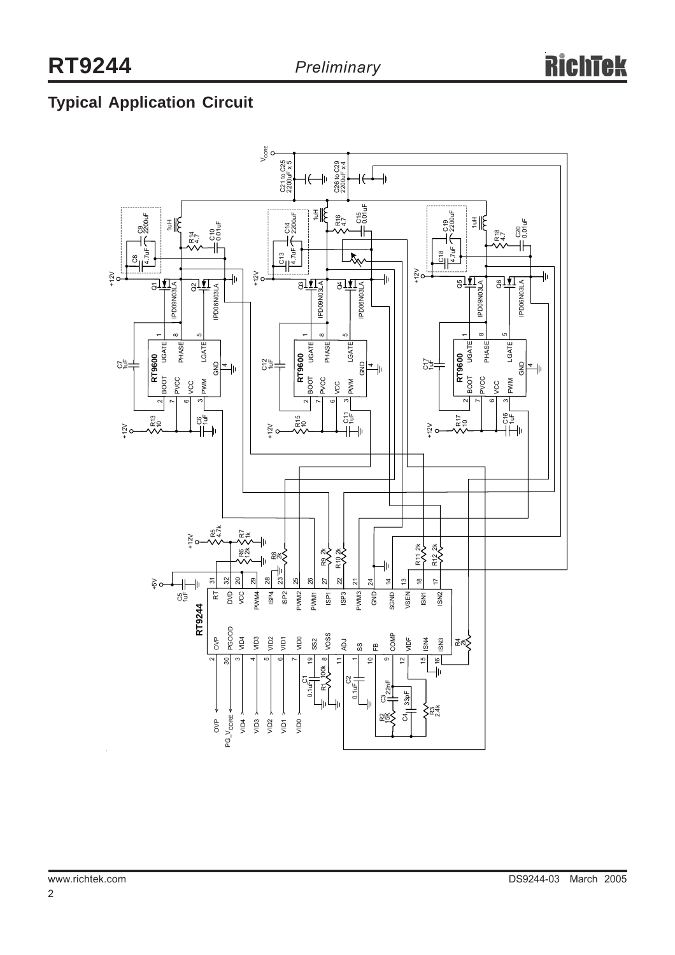# **Typical Application Circuit**

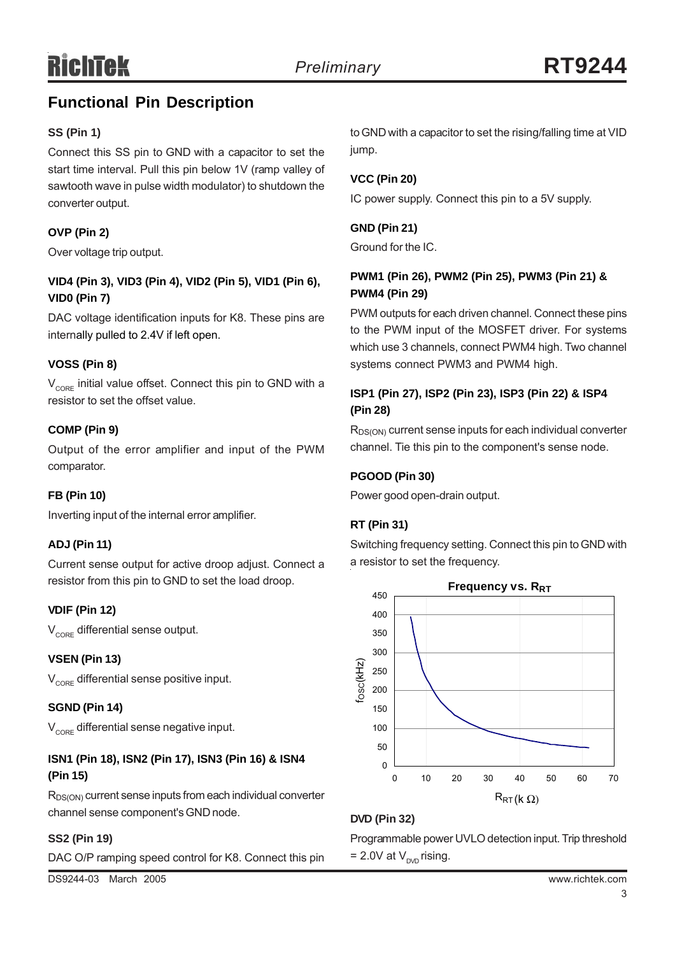## **Functional Pin Description**

## **SS (Pin 1)**

Connect this SS pin to GND with a capacitor to set the start time interval. Pull this pin below 1V (ramp valley of sawtooth wave in pulse width modulator) to shutdown the converter output.

## **OVP (Pin 2)**

Over voltage trip output.

## **VID4 (Pin 3), VID3 (Pin 4), VID2 (Pin 5), VID1 (Pin 6), VID0 (Pin 7)**

DAC voltage identification inputs for K8. These pins are internally pulled to 2.4V if left open.

## **VOSS (Pin 8)**

 $V_{CDEF}$  initial value offset. Connect this pin to GND with a resistor to set the offset value.

## **COMP (Pin 9)**

Output of the error amplifier and input of the PWM comparator.

## **FB (Pin 10)**

Inverting input of the internal error amplifier.

## **ADJ (Pin 11)**

Current sense output for active droop adjust. Connect a resistor from this pin to GND to set the load droop.

## **VDIF (Pin 12)**

 $V_{\text{CORE}}$  differential sense output.

## **VSEN (Pin 13)**

 $V_{\text{CORE}}$  differential sense positive input.

## **SGND (Pin 14)**

 $V_{\text{core}}$  differential sense negative input.

## **ISN1 (Pin 18), ISN2 (Pin 17), ISN3 (Pin 16) & ISN4 (Pin 15)**

 $R_{DS(ON)}$  current sense inputs from each individual converter channel sense component's GND node.

## **SS2 (Pin 19)**

DAC O/P ramping speed control for K8. Connect this pin

DS9244-03 March 2005 www.richtek.com

to GND with a capacitor to set the rising/falling time at VID jump.

## **VCC (Pin 20)**

IC power supply. Connect this pin to a 5V supply.

## **GND (Pin 21)**

Ground for the IC.

## **PWM1 (Pin 26), PWM2 (Pin 25), PWM3 (Pin 21) & PWM4 (Pin 29)**

PWM outputs for each driven channel. Connect these pins to the PWM input of the MOSFET driver. For systems which use 3 channels, connect PWM4 high. Two channel systems connect PWM3 and PWM4 high.

## **ISP1 (Pin 27), ISP2 (Pin 23), ISP3 (Pin 22) & ISP4 (Pin 28)**

R<sub>DS(ON)</sub> current sense inputs for each individual converter channel. Tie this pin to the component's sense node.

## **PGOOD (Pin 30)**

Power good open-drain output.

## **RT (Pin 31)**

Switching frequency setting. Connect this pin to GND with a resistor to set the frequency.



## **DVD (Pin 32)**

Programmable power UVLO detection input. Trip threshold  $= 2.0V$  at  $V_{DVD}$  rising.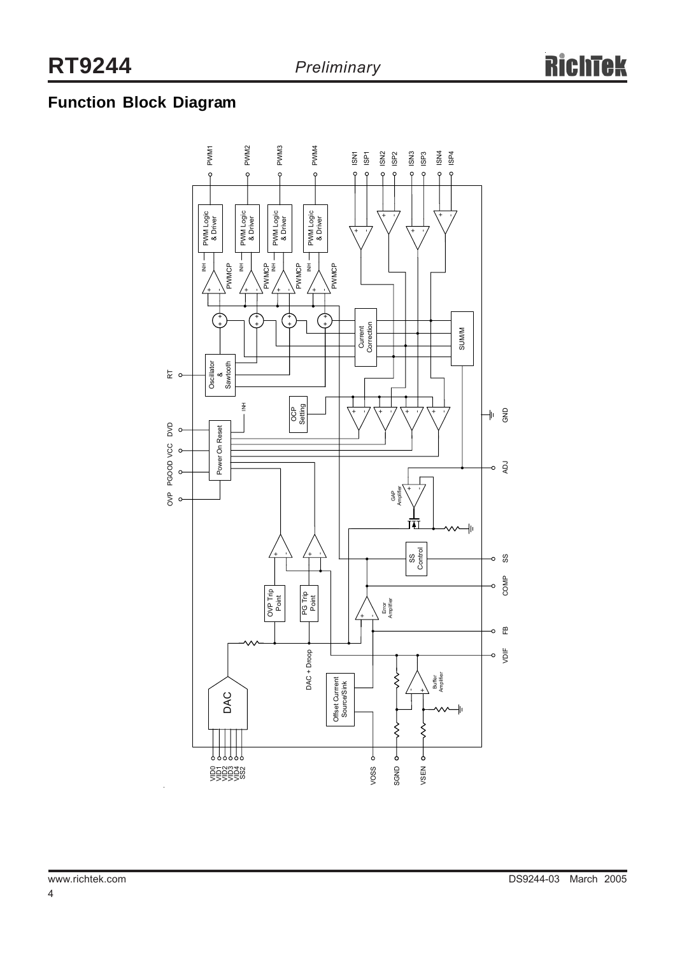# **Function Block Diagram**

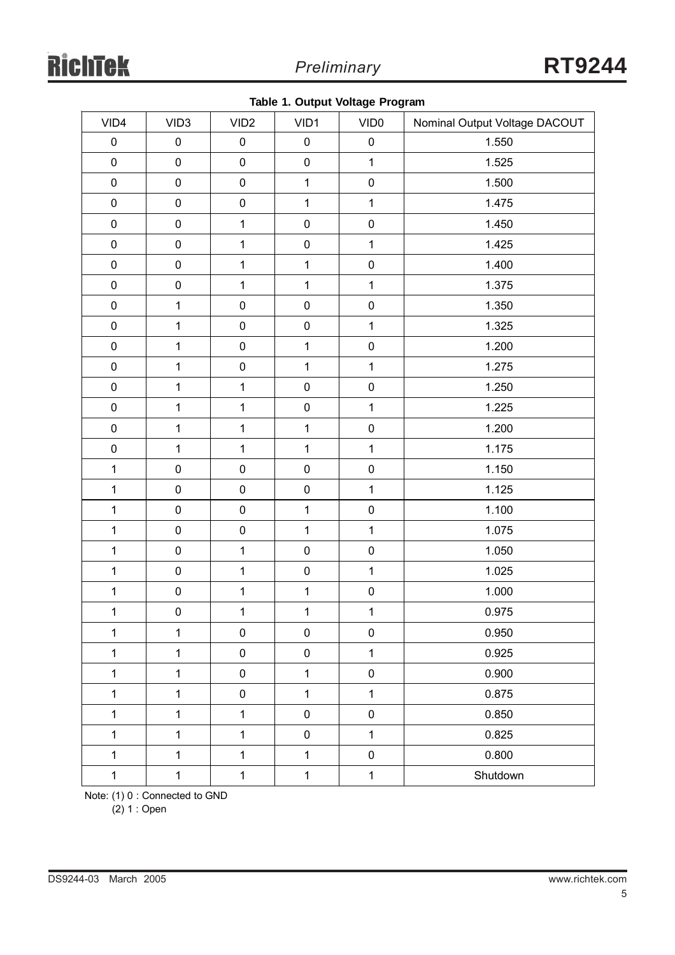|  |  | Table 1. Output Voltage Program |
|--|--|---------------------------------|
|--|--|---------------------------------|

| VID4         | VID <sub>3</sub> | VID <sub>2</sub> | VID1         | VID <sub>0</sub> | Nominal Output Voltage DACOUT |  |
|--------------|------------------|------------------|--------------|------------------|-------------------------------|--|
| $\pmb{0}$    | $\pmb{0}$        | $\pmb{0}$        | $\pmb{0}$    | $\pmb{0}$        | 1.550                         |  |
| $\pmb{0}$    | $\pmb{0}$        | $\pmb{0}$        | $\pmb{0}$    | $\mathbf{1}$     | 1.525                         |  |
| $\pmb{0}$    | $\pmb{0}$        | $\pmb{0}$        | $\mathbf{1}$ | $\pmb{0}$        | 1.500                         |  |
| $\pmb{0}$    | $\pmb{0}$        | $\pmb{0}$        | $\mathbf{1}$ | $\mathbf{1}$     | 1.475                         |  |
| $\pmb{0}$    | $\pmb{0}$        | $\mathbf{1}$     | $\pmb{0}$    | $\pmb{0}$        | 1.450                         |  |
| $\pmb{0}$    | $\pmb{0}$        | $\mathbf{1}$     | $\pmb{0}$    | $\mathbf{1}$     | 1.425                         |  |
| $\pmb{0}$    | $\pmb{0}$        | $\mathbf{1}$     | $\mathbf{1}$ | $\pmb{0}$        | 1.400                         |  |
| $\pmb{0}$    | $\pmb{0}$        | $\mathbf{1}$     | $\mathbf{1}$ | $\mathbf{1}$     | 1.375                         |  |
| $\pmb{0}$    | $\mathbf{1}$     | $\pmb{0}$        | $\pmb{0}$    | $\pmb{0}$        | 1.350                         |  |
| $\pmb{0}$    | $\mathbf{1}$     | $\pmb{0}$        | $\pmb{0}$    | $\mathbf{1}$     | 1.325                         |  |
| $\pmb{0}$    | $\mathbf{1}$     | $\pmb{0}$        | $\mathbf{1}$ | $\pmb{0}$        | 1.200                         |  |
| $\pmb{0}$    | $\mathbf{1}$     | $\pmb{0}$        | $\mathbf{1}$ | $\mathbf 1$      | 1.275                         |  |
| $\pmb{0}$    | $\mathbf{1}$     | $\mathbf{1}$     | $\pmb{0}$    | $\pmb{0}$        | 1.250                         |  |
| $\pmb{0}$    | $\mathbf{1}$     | $\mathbf{1}$     | $\pmb{0}$    | $\mathbf 1$      | 1.225                         |  |
| $\pmb{0}$    | $\mathbf 1$      | $\mathbf 1$      | $\mathbf{1}$ | $\pmb{0}$        | 1.200                         |  |
| $\pmb{0}$    | $\mathbf{1}$     | $\mathbf{1}$     | $\mathbf{1}$ | $\mathbf 1$      | 1.175                         |  |
| $\mathbf 1$  | $\pmb{0}$        | $\pmb{0}$        | $\pmb{0}$    | $\pmb{0}$        | 1.150                         |  |
| $\mathbf 1$  | $\pmb{0}$        | $\pmb{0}$        | $\pmb{0}$    | $\mathbf{1}$     | 1.125                         |  |
| $\mathbf 1$  | $\pmb{0}$        | $\pmb{0}$        | $\mathbf{1}$ | $\pmb{0}$        | 1.100                         |  |
| $\mathbf{1}$ | $\pmb{0}$        | $\pmb{0}$        | $\mathbf{1}$ | $\mathbf 1$      | 1.075                         |  |
| $\mathbf 1$  | $\pmb{0}$        | $\mathbf{1}$     | $\pmb{0}$    | $\pmb{0}$        | 1.050                         |  |
| $\mathbf{1}$ | $\pmb{0}$        | $\mathbf{1}$     | $\pmb{0}$    | $\mathbf{1}$     | 1.025                         |  |
| $\mathbf{1}$ | $\pmb{0}$        | $\mathbf 1$      | $\mathbf{1}$ | $\pmb{0}$        | 1.000                         |  |
| $\mathbf{1}$ | $\pmb{0}$        | $\mathbf{1}$     | $\mathbf{1}$ | $\mathbf{1}$     | 0.975                         |  |
| $\mathbf{1}$ | $\mathbf{1}$     | $\pmb{0}$        | $\pmb{0}$    | $\pmb{0}$        | 0.950                         |  |
| $\mathbf{1}$ | $\mathbf{1}$     | $\pmb{0}$        | $\pmb{0}$    | $\mathbf 1$      | 0.925                         |  |
| $\mathbf{1}$ | $\mathbf{1}$     | $\pmb{0}$        | $\mathbf{1}$ | $\pmb{0}$        | 0.900                         |  |
| $\mathbf{1}$ | $\mathbf{1}$     | 0                | $\mathbf{1}$ | $\mathbf{1}$     | 0.875                         |  |
| $\mathbf{1}$ | $\mathbf{1}$     | $\mathbf{1}$     | $\pmb{0}$    | $\pmb{0}$        | 0.850                         |  |
| $\mathbf{1}$ | $\mathbf{1}$     | $\mathbf{1}$     | $\pmb{0}$    | $\mathbf{1}$     | 0.825                         |  |
| $\mathbf{1}$ | $\mathbf{1}$     | $\mathbf{1}$     | $\mathbf{1}$ | $\pmb{0}$        | 0.800                         |  |
| $\mathbf 1$  | $\mathbf 1$      | $\mathbf{1}$     | $\mathbf{1}$ | $\mathbf 1$      | Shutdown                      |  |

Note: (1) 0 : Connected to GND

(2) 1 : Open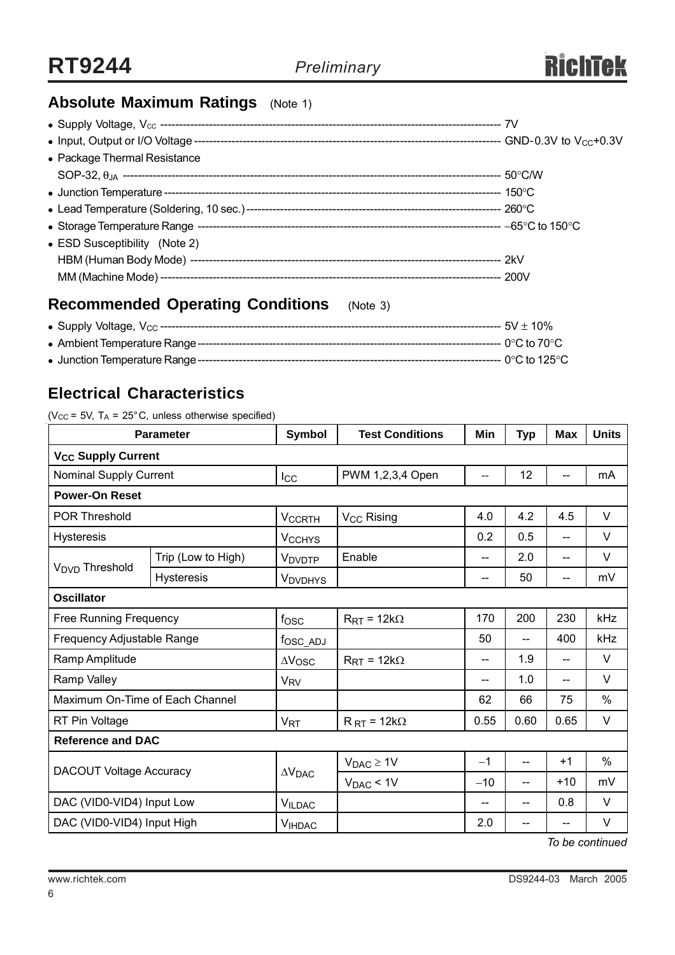

# **Absolute Maximum Ratings** (Note 1)

| • Package Thermal Resistance  |  |
|-------------------------------|--|
|                               |  |
|                               |  |
|                               |  |
|                               |  |
| • ESD Susceptibility (Note 2) |  |
|                               |  |
|                               |  |
|                               |  |

## **Recommended Operating Conditions** (Note 3)

## **Electrical Characteristics**

( $V_{CC}$  = 5V, T<sub>A</sub> = 25°C, unless otherwise specified)

| <b>Parameter</b>                |                    | Symbol                  | <b>Test Conditions</b>         | Min   | <b>Typ</b> | Max   | <b>Units</b> |
|---------------------------------|--------------------|-------------------------|--------------------------------|-------|------------|-------|--------------|
| V <sub>CC</sub> Supply Current  |                    |                         |                                |       |            |       |              |
| <b>Nominal Supply Current</b>   |                    | $I_{\rm CC}$            | PWM 1,2,3,4 Open               | --    | 12         |       | mA           |
| <b>Power-On Reset</b>           |                    |                         |                                |       |            |       |              |
| <b>POR Threshold</b>            |                    | <b>VCCRTH</b>           | V <sub>CC</sub> Rising         | 4.0   | 4.2        | 4.5   | $\vee$       |
| <b>Hysteresis</b>               |                    | <b>VCCHYS</b>           |                                | 0.2   | 0.5        | $-$   | $\vee$       |
| V <sub>DVD</sub> Threshold      | Trip (Low to High) | V <sub>DVDTP</sub>      | Enable                         | $-$   | 2.0        | --    | $\vee$       |
|                                 | <b>Hysteresis</b>  | <b>VDVDHYS</b>          |                                | --    | 50         | --    | mV           |
| <b>Oscillator</b>               |                    |                         |                                |       |            |       |              |
| <b>Free Running Frequency</b>   |                    | f <sub>OSC</sub>        | $R_{\text{RT}}$ = 12k $\Omega$ | 170   | 200        | 230   | kHz          |
| Frequency Adjustable Range      |                    | fosc_adJ                |                                | 50    | --         | 400   | kHz          |
| Ramp Amplitude                  |                    | $\Delta V$ OSC          | $R_{\text{RT}} = 12k\Omega$    | --    | 1.9        | --    | $\vee$       |
| Ramp Valley                     |                    | <b>V<sub>RV</sub></b>   |                                | --    | 1.0        | --    | $\vee$       |
| Maximum On-Time of Each Channel |                    |                         |                                | 62    | 66         | 75    | %            |
| RT Pin Voltage                  |                    | <b>V<sub>RT</sub></b>   | $R_{RT}$ = 12k $\Omega$        | 0.55  | 0.60       | 0.65  | $\vee$       |
| <b>Reference and DAC</b>        |                    |                         |                                |       |            |       |              |
| <b>DACOUT Voltage Accuracy</b>  |                    | $\Delta V_{\text{DAC}}$ | $V_{DAC} \geq 1V$              | $-1$  | --         | $+1$  | $\%$         |
|                                 |                    |                         | $V_{DAC}$ < 1V                 | $-10$ | --         | $+10$ | mV           |
| DAC (VID0-VID4) Input Low       |                    | <b>VILDAC</b>           |                                | --    | --         | 0.8   | V            |
| DAC (VID0-VID4) Input High      |                    | <b>VIHDAC</b>           |                                | 2.0   | --         | --    | V            |

*To be continued*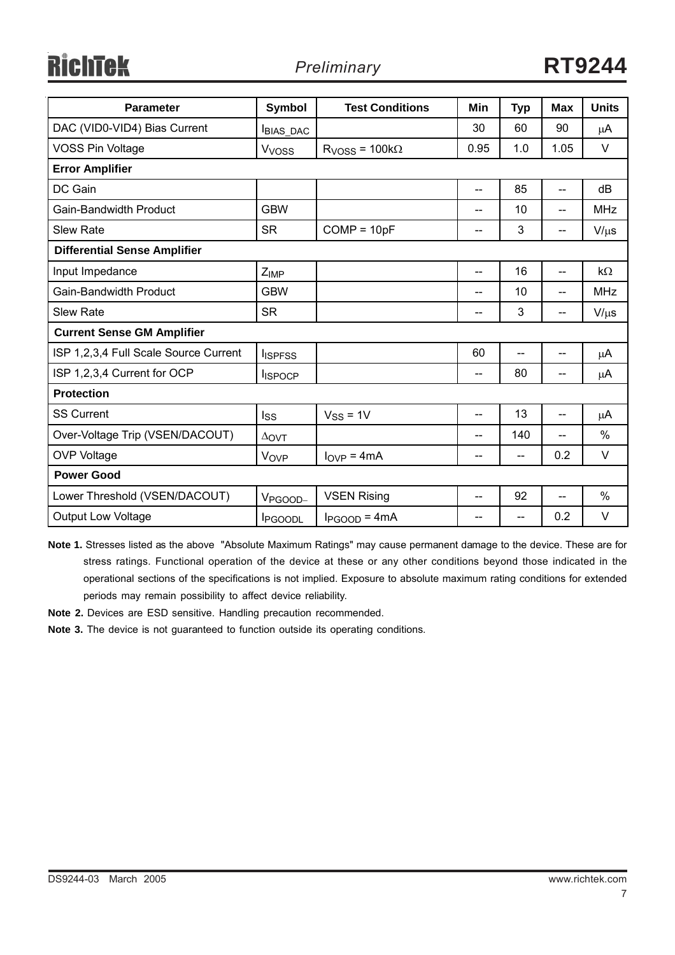**RichTek** 

| <b>Parameter</b>                      | Symbol              | <b>Test Conditions</b>         | Min   | <b>Typ</b> | <b>Max</b>                          | <b>Units</b> |  |
|---------------------------------------|---------------------|--------------------------------|-------|------------|-------------------------------------|--------------|--|
| DAC (VID0-VID4) Bias Current          | <b>BIAS_DAC</b>     |                                | 30    | 60         | 90                                  | $\mu$ A      |  |
| <b>VOSS Pin Voltage</b>               | V <sub>VOSS</sub>   | $RVOSS = 100k\Omega$           | 0.95  | 1.0        | 1.05                                | $\vee$       |  |
| <b>Error Amplifier</b>                |                     |                                |       |            |                                     |              |  |
| DC Gain                               |                     |                                | --    | 85         | --                                  | dB           |  |
| <b>Gain-Bandwidth Product</b>         | <b>GBW</b>          |                                | $- -$ | 10         | $-$                                 | <b>MHz</b>   |  |
| <b>Slew Rate</b>                      | <b>SR</b>           | $COMP = 10pF$                  | --    | 3          | $\hspace{0.05cm}$ $\hspace{0.05cm}$ | $V/\mu s$    |  |
| <b>Differential Sense Amplifier</b>   |                     |                                |       |            |                                     |              |  |
| Input Impedance                       | Z <sub>IMP</sub>    |                                | $-$   | 16         | --                                  | $k\Omega$    |  |
| Gain-Bandwidth Product                | <b>GBW</b>          |                                | --    | 10         | $-$                                 | <b>MHz</b>   |  |
| <b>Slew Rate</b>                      | <b>SR</b>           |                                | --    | 3          | $\overline{\phantom{a}}$            | $V/\mu s$    |  |
| <b>Current Sense GM Amplifier</b>     |                     |                                |       |            |                                     |              |  |
| ISP 1,2,3,4 Full Scale Source Current | <b>I</b> ISPFSS     |                                | 60    |            | --                                  | $\mu$ A      |  |
| ISP 1,2,3,4 Current for OCP           | <b>I</b> ISPOCP     |                                | --    | 80         | $\overline{\phantom{a}}$            | μA           |  |
| <b>Protection</b>                     |                     |                                |       |            |                                     |              |  |
| <b>SS Current</b>                     | Iss                 | $V_{SS} = 1V$                  | $-$   | 13         | $\overline{\phantom{a}}$            | $\mu$ A      |  |
| Over-Voltage Trip (VSEN/DACOUT)       | $\Delta$ OVT        |                                | --    | 140        | --                                  | $\%$         |  |
| <b>OVP Voltage</b>                    | Vove                | $I_{\text{OVP}} = 4 \text{mA}$ | --    | $-$        | 0.2                                 | $\vee$       |  |
| <b>Power Good</b>                     |                     |                                |       |            |                                     |              |  |
| Lower Threshold (VSEN/DACOUT)         | V <sub>PGOOD-</sub> | <b>VSEN Rising</b>             | --    | 92         | $- -$                               | $\%$         |  |
| <b>Output Low Voltage</b>             | <b>I</b> PGOODL     | $I_{PGOOD} = 4mA$              | --    | $-$        | 0.2                                 | $\vee$       |  |

**Note 1.** Stresses listed as the above "Absolute Maximum Ratings" may cause permanent damage to the device. These are for stress ratings. Functional operation of the device at these or any other conditions beyond those indicated in the operational sections of the specifications is not implied. Exposure to absolute maximum rating conditions for extended periods may remain possibility to affect device reliability.

**Note 2.** Devices are ESD sensitive. Handling precaution recommended.

**Note 3.** The device is not guaranteed to function outside its operating conditions.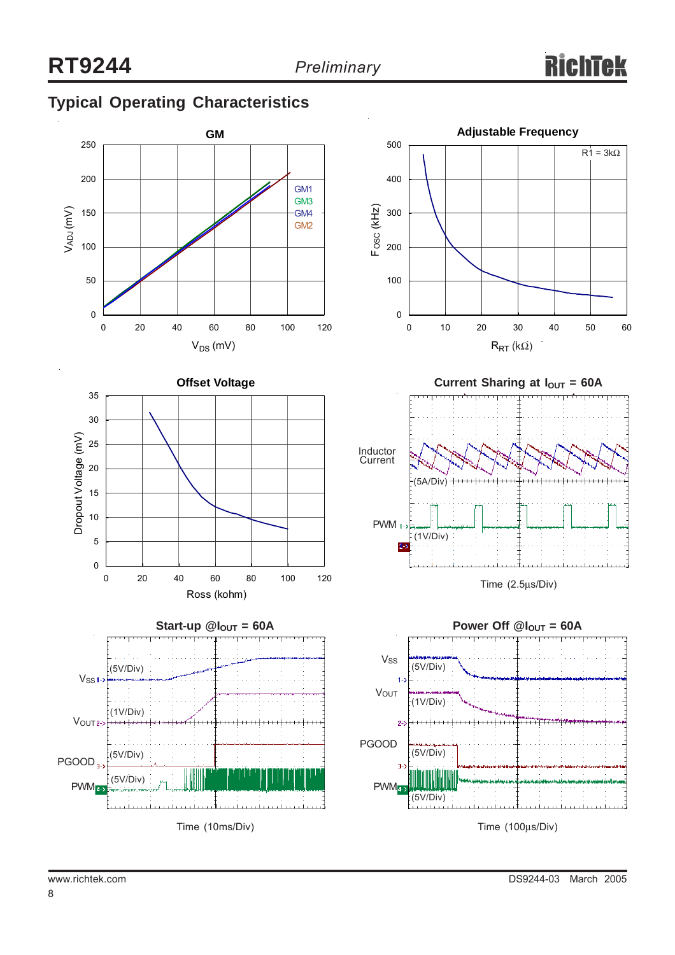# **Typical Operating Characteristics**













Time (100µs/Div)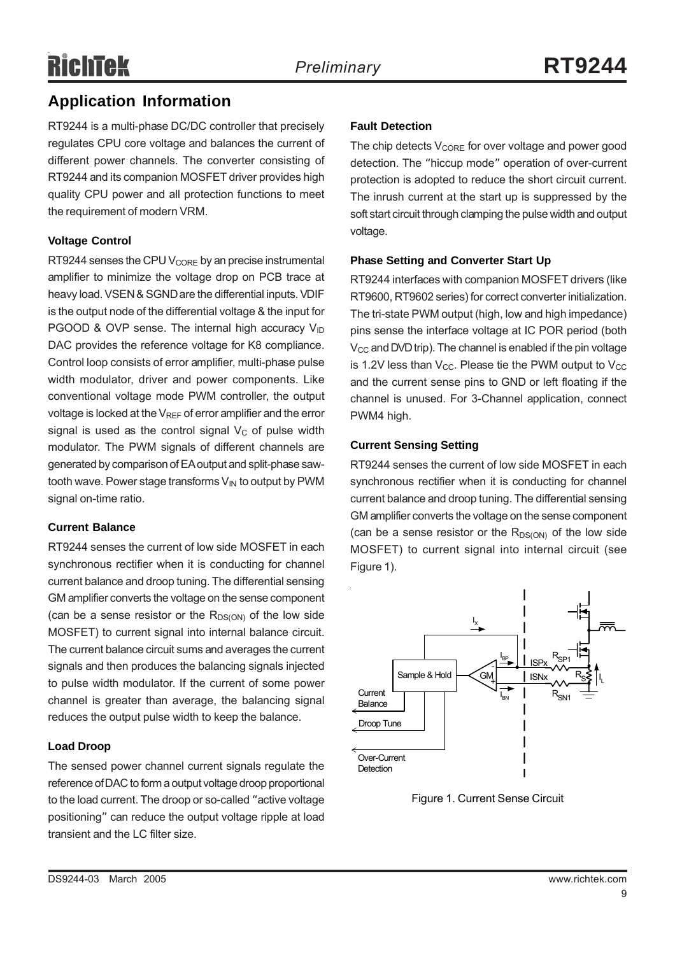## **Application Information**

RT9244 is a multi-phase DC/DC controller that precisely regulates CPU core voltage and balances the current of different power channels. The converter consisting of RT9244 and its companion MOSFET driver provides high quality CPU power and all protection functions to meet the requirement of modern VRM.

## **Voltage Control**

RT9244 senses the CPU  $V_{\text{CORE}}$  by an precise instrumental amplifier to minimize the voltage drop on PCB trace at heavy load. VSEN & SGND are the differential inputs. VDIF is the output node of the differential voltage & the input for PGOOD & OVP sense. The internal high accuracy  $V_{1D}$ DAC provides the reference voltage for K8 compliance. Control loop consists of error amplifier, multi-phase pulse width modulator, driver and power components. Like conventional voltage mode PWM controller, the output voltage is locked at the  $V_{RFF}$  of error amplifier and the error signal is used as the control signal  $V<sub>C</sub>$  of pulse width modulator. The PWM signals of different channels are generated by comparison of EA output and split-phase sawtooth wave. Power stage transforms  $V_{IN}$  to output by PWM signal on-time ratio.

## **Current Balance**

RT9244 senses the current of low side MOSFET in each synchronous rectifier when it is conducting for channel current balance and droop tuning. The differential sensing GM amplifier converts the voltage on the sense component (can be a sense resistor or the  $R_{DS(ON)}$  of the low side MOSFET) to current signal into internal balance circuit. The current balance circuit sums and averages the current signals and then produces the balancing signals injected to pulse width modulator. If the current of some power channel is greater than average, the balancing signal reduces the output pulse width to keep the balance.

## **Load Droop**

The sensed power channel current signals regulate the reference of DAC to form a output voltage droop proportional to the load current. The droop or so-called "active voltage positioning" can reduce the output voltage ripple at load transient and the LC filter size.

## **Fault Detection**

The chip detects  $V_{\text{CORF}}$  for over voltage and power good detection. The "hiccup mode" operation of over-current protection is adopted to reduce the short circuit current. The inrush current at the start up is suppressed by the soft start circuit through clamping the pulse width and output voltage.

## **Phase Setting and Converter Start Up**

RT9244 interfaces with companion MOSFET drivers (like RT9600, RT9602 series) for correct converter initialization. The tri-state PWM output (high, low and high impedance) pins sense the interface voltage at IC POR period (both  $V_{\rm CC}$  and DVD trip). The channel is enabled if the pin voltage is 1.2V less than  $V_{CC}$ . Please tie the PWM output to  $V_{CC}$ and the current sense pins to GND or left floating if the channel is unused. For 3-Channel application, connect PWM4 high.

## **Current Sensing Setting**

RT9244 senses the current of low side MOSFET in each synchronous rectifier when it is conducting for channel current balance and droop tuning. The differential sensing GM amplifier converts the voltage on the sense component (can be a sense resistor or the  $R_{DS(ON)}$  of the low side MOSFET) to current signal into internal circuit (see Figure 1).



Figure 1. Current Sense Circuit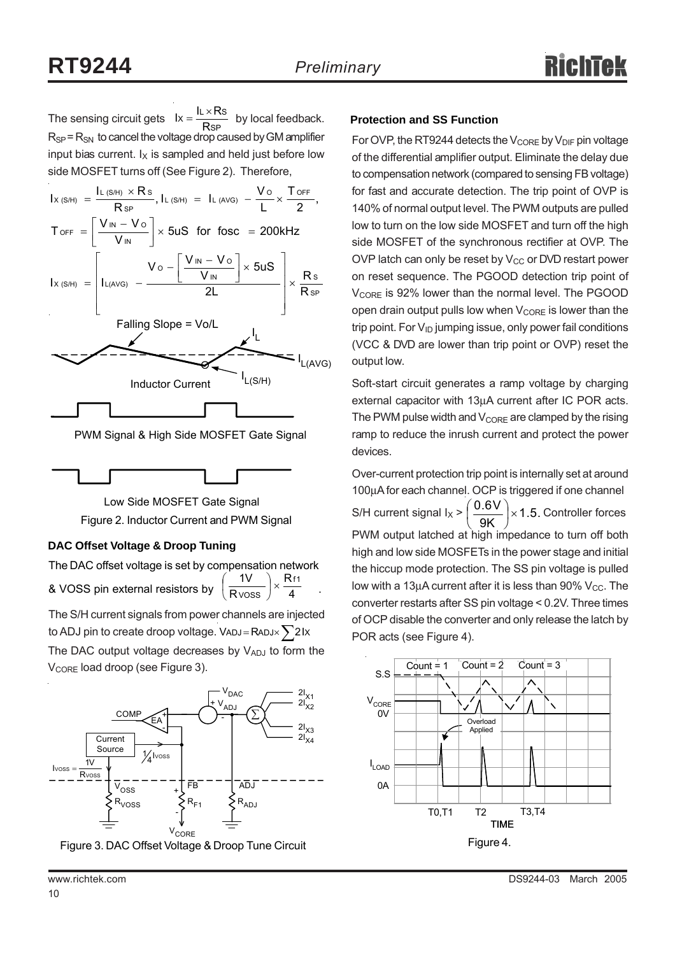The sensing circuit gets  $Ix = \frac{RATCO}{RSP}$  by local feedback. **Protection and SS Function**  $R_{SP}$  =  $R_{SN}$  to cancel the voltage drop caused by GM amplifier input bias current.  $I_X$  is sampled and held just before low side MOSFET turns off (See Figure 2). Therefore,  $lx = \frac{IL \times Rs}{RsP}$ 



PWM Signal & High Side MOSFET Gate Signal



Figure 2. Inductor Current and PWM Signal Low Side MOSFET Gate Signal

## **DAC Offset Voltage & Droop Tuning**

V<sub>CORE</sub> load droop (see Figure 3).

The DAC offset voltage is set by compensation network & VOSS pin external resistors by  $\left(\frac{1}{R \text{V} \text{OSS}}\right)^{\times} \frac{1}{4}$ . R R  $1V$  Rf1  $\frac{iv}{\text{V} \cdot \text{V} \cdot \text{V}}$   $\times$ ⎠  $\left(\frac{1}{2}\right)$ ⎝  $\big($ 

The DAC output voltage decreases by VADJ to form the The S/H current signals from power channels are injected to ADJ pin to create droop voltage. VADJ = RADJ $\times$  $\sum$ 2Ix



Figure 3. DAC Offset Voltage & Droop Tune Circuit

For OVP, the RT9244 detects the  $V_{\text{CORE}}$  by  $V_{\text{DIF}}$  pin voltage of the differential amplifier output. Eliminate the delay due to compensation network (compared to sensing FB voltage) for fast and accurate detection. The trip point of OVP is 140% of normal output level. The PWM outputs are pulled low to turn on the low side MOSFET and turn off the high side MOSFET of the synchronous rectifier at OVP. The OVP latch can only be reset by  $V_{CC}$  or DVD restart power on reset sequence. The PGOOD detection trip point of V<sub>CORE</sub> is 92% lower than the normal level. The PGOOD open drain output pulls low when  $V_{\text{CORE}}$  is lower than the trip point. For  $V_{ID}$  jumping issue, only power fail conditions (VCC & DVD are lower than trip point or OVP) reset the output low.

Soft-start circuit generates a ramp voltage by charging external capacitor with 13µA current after IC POR acts. The PWM pulse width and  $V_{\text{CORE}}$  are clamped by the rising ramp to reduce the inrush current and protect the power devices.

Over-current protection trip point is internally set at around 100µA for each channel. OCP is triggered if one channel S/H current signal I<sub>X</sub> >  $\left(\frac{0.6 \text{V}}{9 \text{K}}\right)$  × 1.5. Controller forces PWM output latched at high impedance to turn off both high and low side MOSFETs in the power stage and initial the hiccup mode protection. The SS pin voltage is pulled low with a 13 $\mu$ A current after it is less than 90% V<sub>CC</sub>. The converter restarts after SS pin voltage < 0.2V. Three times of OCP disable the converter and only release the latch by POR acts (see Figure 4). ⎠  $\left(\frac{0.6V}{2V}\right)$ ⎝  $\big($ 

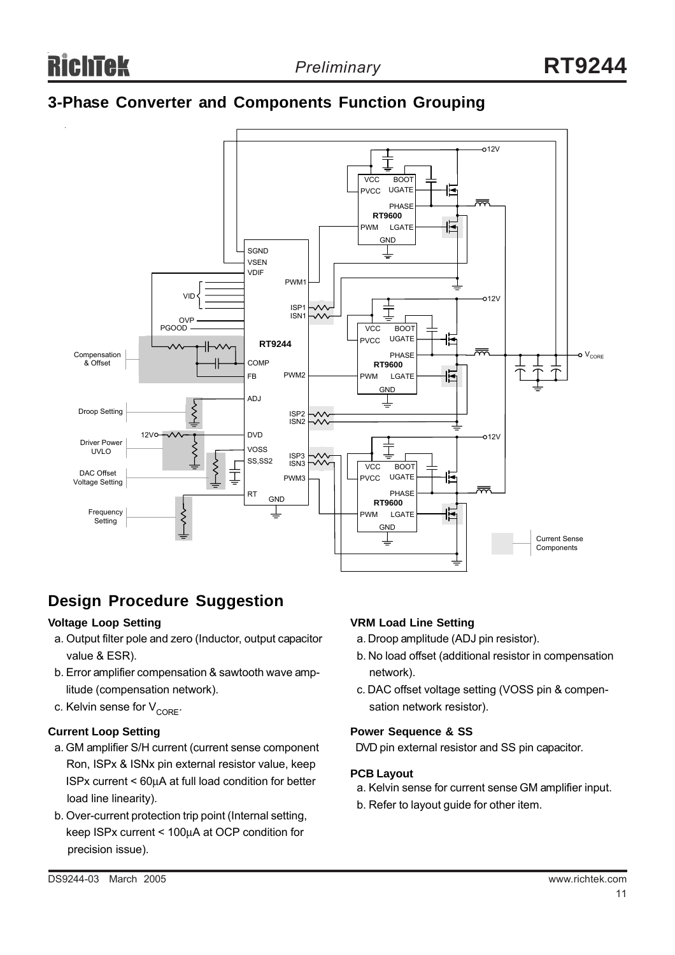## **3-Phase Converter and Components Function Grouping**



## **Design Procedure Suggestion**

## **Voltage Loop Setting**

- a. Output filter pole and zero (Inductor, output capacitor value & ESR).
- b. Error amplifier compensation & sawtooth wave amp litude (compensation network).
- c. Kelvin sense for  $V_{CORF}$ .

#### **Current Loop Setting**

- a. GM amplifier S/H current (current sense component Ron, ISPx & ISNx pin external resistor value, keep ISPx current < 60µA at full load condition for better load line linearity).
- b. Over-current protection trip point (Internal setting, keep ISPx current < 100µA at OCP condition for precision issue).

#### **VRM Load Line Setting**

- a. Droop amplitude (ADJ pin resistor).
- b. No load offset (additional resistor in compensation network).
- c. DAC offset voltage setting (VOSS pin & compen sation network resistor).

#### **Power Sequence & SS**

DVD pin external resistor and SS pin capacitor.

#### **PCB Layout**

- a. Kelvin sense for current sense GM amplifier input.
- b. Refer to layout guide for other item.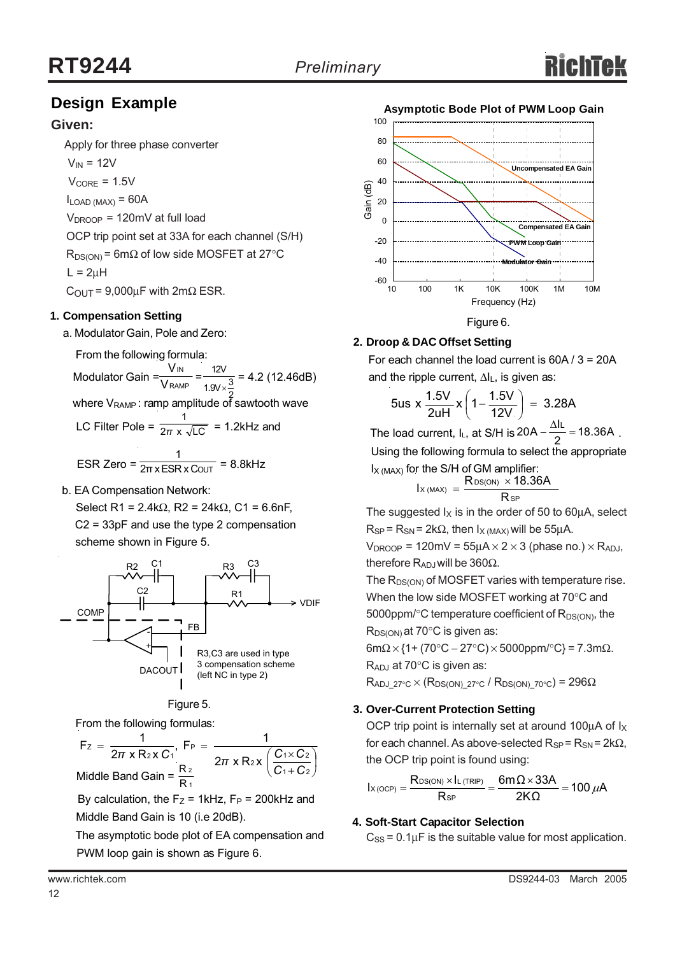## **Design Example**

## **Given:**

Apply for three phase converter

 $V_{IN}$  = 12V

 $V_{\text{CORE}} = 1.5V$ 

 $I_{LOAD (MAX)} = 60A$ 

 $V_{\text{DROOP}}$  = 120mV at full load

OCP trip point set at 33A for each channel (S/H)

 $R_{DS(ON)}$  = 6m $\Omega$  of low side MOSFET at 27°C  $L = 2uH$ 

 $C_{\text{OUT}} = 9,000 \mu F$  with 2m $\Omega$  ESR.

## **1. Compensation Setting**

a. Modulator Gain, Pole and Zero:

From the following formula:

Modulator Gain =  $\frac{100}{\text{V}_\text{RAMP}} = \frac{120}{190 \times 3} = 4.2$  (12.46dB) IN V V 12V 1.9V $\times\frac{3}{5}$ 

where  $V_{\text{RAMP}}$ : ramp amplitude of sawtooth wave

LC Filter Pole =  $\frac{1}{2\pi} \times \sqrt{LC}$  = 1.2kHz and 1 *π* 1

$$
ESR Zero = \frac{1}{2\pi x ESR x CovT} = 8.8kHz
$$

b. EA Compensation Network:

Select R1 = 2.4kΩ, R2 = 24kΩ, C1 = 6.6nF, C2 = 33pF and use the type 2 compensation scheme shown in Figure 5.





From the following formulas:

 $\sqrt{2}$ ⎠  $\left(\frac{C_1 \times C_2}{2}\right)$ ⎝  $\big($ +  $=\frac{1}{2\pi \times R_2 \times C_1}$ , F<sub>P</sub> =  $\frac{1}{2\pi \times R_1 \times C_1 \times C_1}$ 1 + C 2  $2x \left( \frac{C_1 \times C_2}{2} \right)$ P 2 X U 1 Z  $F_z = \frac{1}{2\pi x R_2 x C_1}, F_P = \frac{1}{2\pi x R_2 x}$ *C C*  $\pi$  x R<sub>2</sub> x C<sub>1</sub><sup> $\pi$ </sup> 2π x R<sub>2</sub> x  $\left(\frac{C_1 \times C_2}{C_1} \right)$ 1 2 Middle Band Gain =  $\frac{R}{R}$ 

By calculation, the  $F_Z$  = 1kHz,  $F_P$  = 200kHz and Middle Band Gain is 10 (i.e 20dB).

 The asymptotic bode plot of EA compensation and PWM loop gain is shown as Figure 6.



# **2. Droop & DAC Offset Setting**

 For each channel the load current is 60A / 3 = 20A and the ripple current, ∆I<sub>L</sub>, is given as:

$$
5us \times \frac{1.5V}{2uH} \times \left(1 - \frac{1.5V}{12V}\right) = 3.28A
$$

The load current, I<sub>L</sub>, at S/H is  $20A - \frac{\Delta I_L}{2} = 18.36A$ . Using the following formula to select the appropriate  $I_{X (MAX)}$  for the S/H of GM amplifier:

$$
I_{X(MAX)} = \frac{R_{DS(ON)} \times 18.36A}{R_{SP}}
$$

The suggested  $I_X$  is in the order of 50 to 60 $\mu$ A, select  $R_{SP}$  =  $R_{SN}$  = 2k $\Omega$ , then  $I_{X (MAX)}$  will be 55µA.

 $V_{DROOP}$  = 120mV = 55 $\mu$ A × 2 × 3 (phase no.) × R<sub>ADJ</sub>, therefore R<sub>ADJ</sub> will be 360Ω.

The  $R_{DS(ON)}$  of MOSFET varies with temperature rise. When the low side MOSFET working at 70°C and 5000ppm/ $\textdegree$ C temperature coefficient of  $R_{DS(ON)}$ , the  $R_{DS(ON)}$  at 70 $\degree$ C is given as:

6mΩ × {1+ (70°C – 27°C) × 5000ppm/°C} = 7.3mΩ.

 $R_{\mathsf{ADJ}}$  at 70°C is given as:

 $R_{ADJ-27°C} \times (R_{DS(ON)-27°C} / R_{DS(ON)-70°C}) = 296\Omega$ 

## **3. Over-Current Protection Setting**

OCP trip point is internally set at around 100 $\mu$ A of  $I_X$ for each channel. As above-selected  $R_{SP} = R_{SN} = 2k\Omega$ , the OCP trip point is found using:

100 $\mu$ A 2KΩ 6m $\Omega \times$ 33A R  $I_{X(OCP)} = \frac{R_{DS(ON)} \times I}{R_{SP}}$  $\alpha_{\text{(OCP)}} = \frac{\text{R}_{\text{DS(ON)}} \times \text{l}_{\text{L(TRIP)}}}{\sum_{n=1}^{\infty} \alpha_{\text{S}} \cdot \text{D} \cdot \text{D} \cdot \text{D}} = 100 \,\mu\text{m}$ 

## **4. Soft-Start Capacitor Selection**

 $C_{SS}$  = 0.1 $\mu$ F is the suitable value for most application.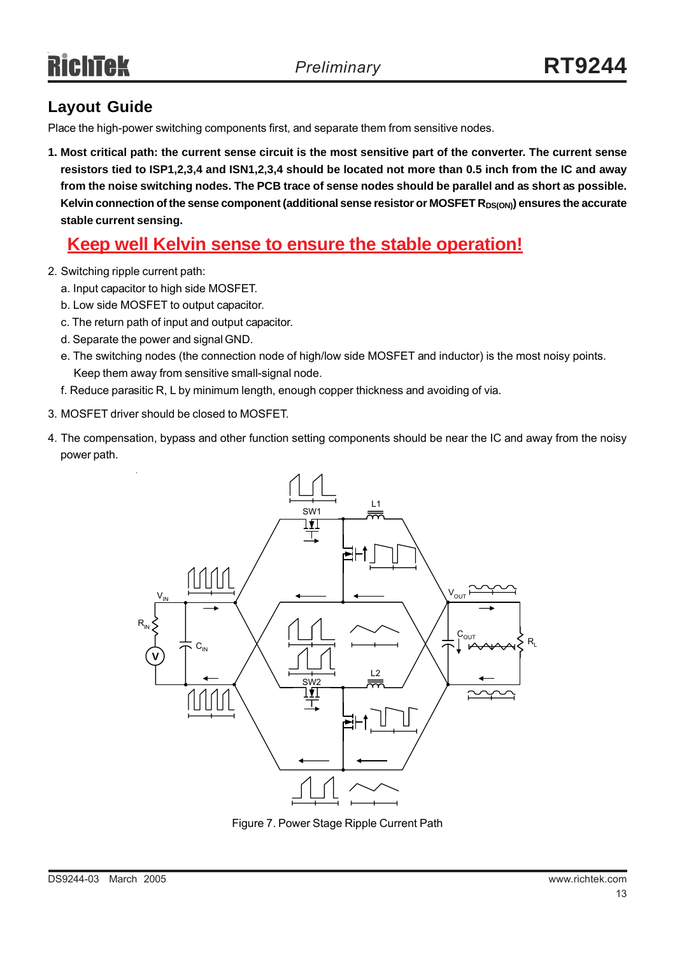# **Layout Guide**

Place the high-power switching components first, and separate them from sensitive nodes.

**1. Most critical path: the current sense circuit is the most sensitive part of the converter. The current sense resistors tied to ISP1,2,3,4 and ISN1,2,3,4 should be located not more than 0.5 inch from the IC and away from the noise switching nodes. The PCB trace of sense nodes should be parallel and as short as possible.** Kelvin connection of the sense component (additional sense resistor or MOSFET R<sub>DS(ON)</sub>) ensures the accurate **stable current sensing.**

# **Keep well Kelvin sense to ensure the stable operation!**

- 2. Switching ripple current path:
	- a. Input capacitor to high side MOSFET.
	- b. Low side MOSFET to output capacitor.
	- c. The return path of input and output capacitor.
	- d. Separate the power and signal GND.
	- e. The switching nodes (the connection node of high/low side MOSFET and inductor) is the most noisy points. Keep them away from sensitive small-signal node.
	- f. Reduce parasitic R, L by minimum length, enough copper thickness and avoiding of via.
- 3. MOSFET driver should be closed to MOSFET.
- 4. The compensation, bypass and other function setting components should be near the IC and away from the noisy power path.



Figure 7. Power Stage Ripple Current Path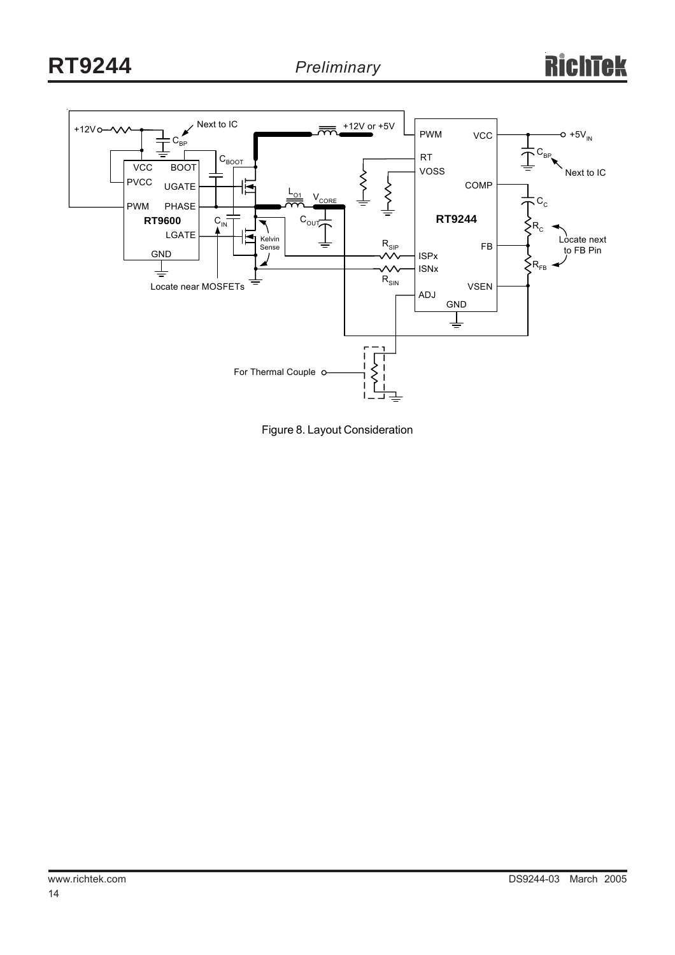

Figure 8. Layout Consideration